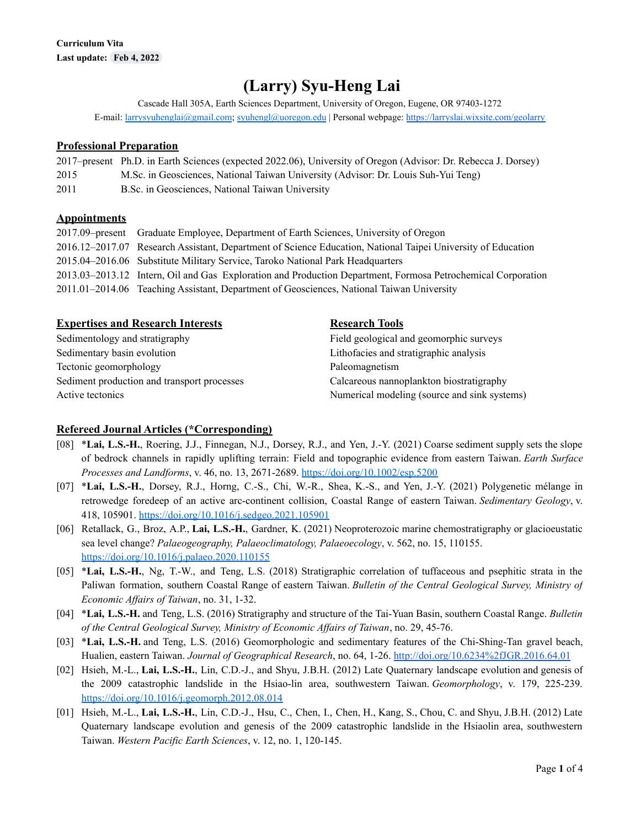# **(Larry) Syu-Heng Lai**

Cascade Hall 305A, Earth Sciences Department, University of Oregon, Eugene, OR 97403-1272 E-mail: [larrysyuhenglai@gmail.com](mailto:larrysyuhenglai@gmail.com); [syuhengl@uoregon.edu](mailto:syuhengl@uoregon.edu) | Personal webpage: <https://larryslai.wixsite.com/geolarry>

## **Professional Preparation**

|      | 2017–present Ph.D. in Earth Sciences (expected 2022.06), University of Oregon (Advisor: Dr. Rebecca J. Dorsey) |
|------|----------------------------------------------------------------------------------------------------------------|
| 2015 | M.Sc. in Geosciences, National Taiwan University (Advisor: Dr. Louis Suh-Yui Teng)                             |
| 2011 | B.Sc. in Geosciences, National Taiwan University                                                               |

## **Appointments**

| 2017.09-present Graduate Employee, Department of Earth Sciences, University of Oregon                        |
|--------------------------------------------------------------------------------------------------------------|
| 2016.12–2017.07 Research Assistant, Department of Science Education, National Taipei University of Education |
| 2015.04-2016.06 Substitute Military Service, Taroko National Park Headquarters                               |
| 2013.03–2013.12 Intern, Oil and Gas Exploration and Production Department, Formosa Petrochemical Corporation |
| 2011.01–2014.06 Teaching Assistant, Department of Geosciences, National Taiwan University                    |

| <b>Expertises and Research Interests</b>    | <b>Research Tools</b>                        |
|---------------------------------------------|----------------------------------------------|
| Sedimentology and stratigraphy              | Field geological and geomorphic surveys      |
| Sedimentary basin evolution                 | Lithofacies and stratigraphic analysis       |
| Tectonic geomorphology                      | Paleomagnetism                               |
| Sediment production and transport processes | Calcareous nannoplankton biostratigraphy     |
| Active tectonics                            | Numerical modeling (source and sink systems) |

#### **Refereed Journal Articles (\*Corresponding)**

- [08] \***Lai, L.S.-H.**, Roering, J.J., Finnegan, N.J., Dorsey, R.J., and Yen, J.-Y. (2021) Coarse sediment supply sets the slope of bedrock channels in rapidly uplifting terrain: Field and topographic evidence from eastern Taiwan. *Earth Surface Processes and Landforms*, v. 46, no. 13, 2671-2689. <https://doi.org/10.1002/esp.5200>
- [07] \***Lai, L.S.-H.**, Dorsey, R.J., Horng, C.-S., Chi, W.-R., Shea, K.-S., and Yen, J.-Y. (2021) Polygenetic mélange in retrowedge foredeep of an active arc-continent collision, Coastal Range of eastern Taiwan. *Sedimentary Geology*, v. 418, 105901. <https://doi.org/10.1016/j.sedgeo.2021.105901>
- [06] Retallack, G., Broz, A.P., **Lai, L.S.-H.**, Gardner, K. (2021) Neoproterozoic marine chemostratigraphy or glacioeustatic sea level change? *Palaeogeography, Palaeoclimatology, Palaeoecology*, v. 562, no. 15, 110155. <https://doi.org/10.1016/j.palaeo.2020.110155>
- [05] \***Lai, L.S.-H.**, Ng, T.-W., and Teng, L.S. (2018) Stratigraphic correlation of tuffaceous and psephitic strata in the Paliwan formation, southern Coastal Range of eastern Taiwan. *Bulletin of the Central Geological Survey, Ministry of Economic Af airs of Taiwan*, no. 31, 1-32.
- [04] \***Lai, L.S.-H.** and Teng, L.S. (2016) Stratigraphy and structure of the Tai-Yuan Basin, southern Coastal Range. *Bulletin of the Central Geological Survey, Ministry of Economic Af airs of Taiwan*, no. 29, 45-76.
- [03] \***Lai, L.S.-H.** and Teng, L.S. (2016) Geomorphologic and sedimentary features of the Chi-Shing-Tan gravel beach, Hualien, eastern Taiwan. *Journal of Geographical Research*, no. 64, 1-26. <http://doi.org/10.6234%2fJGR.2016.64.01>
- [02] Hsieh, M.-L., **Lai, L.S.-H.**, Lin, C.D.-J., and Shyu, J.B.H. (2012) Late Quaternary landscape evolution and genesis of the 2009 catastrophic landslide in the Hsiao-lin area, southwestern Taiwan. *Geomorphology*, v. 179, 225-239. <https://doi.org/10.1016/j.geomorph.2012.08.014>
- [01] Hsieh, M.-L., **Lai, L.S.-H.**, Lin, C.D.-J., Hsu, C., Chen, I., Chen, H., Kang, S., Chou, C. and Shyu, J.B.H. (2012) Late Quaternary landscape evolution and genesis of the 2009 catastrophic landslide in the Hsiaolin area, southwestern Taiwan. *Western Pacific Earth Sciences*, v. 12, no. 1, 120-145.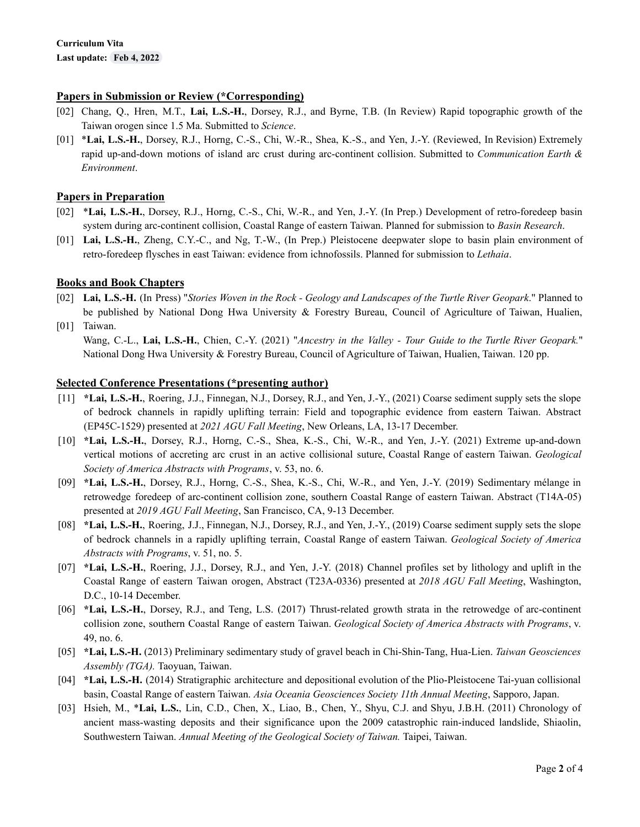## **Papers in Submission or Review (\*Corresponding)**

- [02] Chang, Q., Hren, M.T., **Lai, L.S.-H.**, Dorsey, R.J., and Byrne, T.B. (In Review) Rapid topographic growth of the Taiwan orogen since 1.5 Ma. Submitted to *Science*.
- [01] \***Lai, L.S.-H.**, Dorsey, R.J., Horng, C.-S., Chi, W.-R., Shea, K.-S., and Yen, J.-Y. (Reviewed, In Revision) Extremely rapid up-and-down motions of island arc crust during arc-continent collision. Submitted to *Communication Earth & Environment*.

## **Papers in Preparation**

- [02] \***Lai, L.S.-H.**, Dorsey, R.J., Horng, C.-S., Chi, W.-R., and Yen, J.-Y. (In Prep.) Development of retro-foredeep basin system during arc-continent collision, Coastal Range of eastern Taiwan. Planned for submission to *Basin Research*.
- [01] **Lai, L.S.-H.**, Zheng, C.Y.-C., and Ng, T.-W., (In Prep.) Pleistocene deepwater slope to basin plain environment of retro-foredeep flysches in east Taiwan: evidence from ichnofossils. Planned for submission to *Lethaia*.

## **Books and Book Chapters**

- [02] Lai, L.S.-H. (In Press) "Stories Woven in the Rock Geology and Landscapes of the Turtle River Geopark." Planned to be published by National Dong Hwa University & Forestry Bureau, Council of Agriculture of Taiwan, Hualien,
- [01] Taiwan.

Wang, C.-L., **Lai, L.S.-H.**, Chien, C.-Y. (2021) "*Ancestry in the Valley - Tour Guide to the Turtle River Geopark.*" National Dong Hwa University & Forestry Bureau, Council of Agriculture of Taiwan, Hualien, Taiwan. 120 pp.

#### **Selected Conference Presentations (\*presenting author)**

- [11] **\*Lai, L.S.-H.**, Roering, J.J., Finnegan, N.J., Dorsey, R.J., and Yen, J.-Y., (2021) Coarse sediment supply sets the slope of bedrock channels in rapidly uplifting terrain: Field and topographic evidence from eastern Taiwan. Abstract (EP45C-1529) presented at *2021 AGU Fall Meeting*, New Orleans, LA, 13-17 December.
- [10] **\*Lai, L.S.-H.**, Dorsey, R.J., Horng, C.-S., Shea, K.-S., Chi, W.-R., and Yen, J.-Y. (2021) Extreme up-and-down vertical motions of accreting arc crust in an active collisional suture, Coastal Range of eastern Taiwan. *Geological Society of America Abstracts with Programs*, v. 53, no. 6.
- [09] **\*Lai, L.S.-H.**, Dorsey, R.J., Horng, C.-S., Shea, K.-S., Chi, W.-R., and Yen, J.-Y. (2019) Sedimentary mélange in retrowedge foredeep of arc-continent collision zone, southern Coastal Range of eastern Taiwan. Abstract (T14A-05) presented at *2019 AGU Fall Meeting*, San Francisco, CA, 9-13 December.
- [08] **\*Lai, L.S.-H.**, Roering, J.J., Finnegan, N.J., Dorsey, R.J., and Yen, J.-Y., (2019) Coarse sediment supply sets the slope of bedrock channels in a rapidly uplifting terrain, Coastal Range of eastern Taiwan. *Geological Society of America Abstracts with Programs*, v. 51, no. 5.
- [07] **\*Lai, L.S.-H.**, Roering, J.J., Dorsey, R.J., and Yen, J.-Y. (2018) Channel profiles set by lithology and uplift in the Coastal Range of eastern Taiwan orogen, Abstract (T23A-0336) presented at *2018 AGU Fall Meeting*, Washington, D.C., 10-14 December.
- [06] **\*Lai, L.S.-H.**, Dorsey, R.J., and Teng, L.S. (2017) Thrust-related growth strata in the retrowedge of arc-continent collision zone, southern Coastal Range of eastern Taiwan. *Geological Society of America Abstracts with Programs*, v. 49, no. 6.
- [05] **\*Lai, L.S.-H.** (2013) Preliminary sedimentary study of gravel beach in Chi-Shin-Tang, Hua-Lien. *Taiwan Geosciences Assembly (TGA).* Taoyuan, Taiwan.
- [04] **\*Lai, L.S.-H.** (2014) Stratigraphic architecture and depositional evolution of the Plio-Pleistocene Tai-yuan collisional basin, Coastal Range of eastern Taiwan. *Asia Oceania Geosciences Society 11th Annual Meeting*, Sapporo, Japan.
- [03] Hsieh, M., \***Lai, L.S.**, Lin, C.D., Chen, X., Liao, B., Chen, Y., Shyu, C.J. and Shyu, J.B.H. (2011) Chronology of ancient mass-wasting deposits and their significance upon the 2009 catastrophic rain-induced landslide, Shiaolin, Southwestern Taiwan. *Annual Meeting of the Geological Society of Taiwan.* Taipei, Taiwan.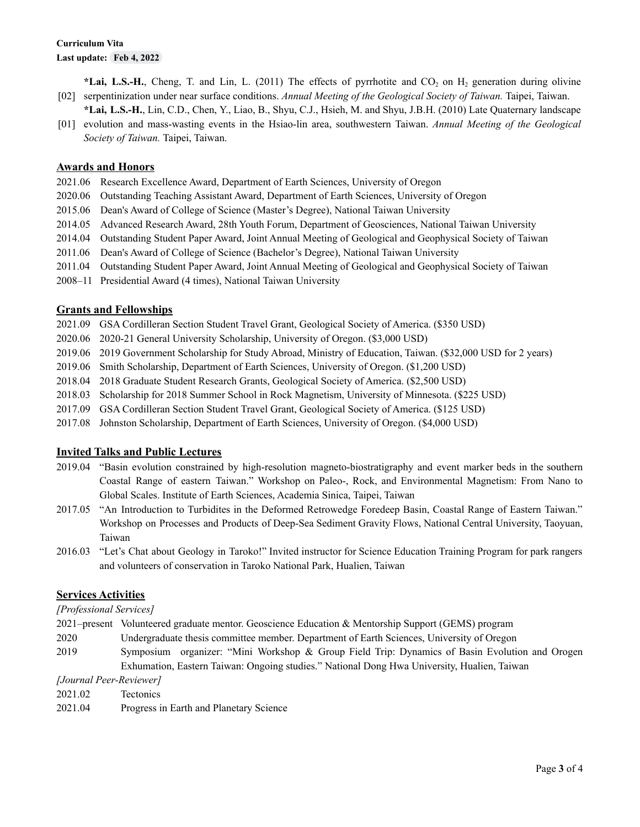[02] serpentinization under near surface conditions. *Annual Meeting of the Geological Society of Taiwan.* Taipei, Taiwan. **\*Lai, L.S.-H.**, Cheng, T. and Lin, L. (2011) The effects of pyrrhotite and  $CO<sub>2</sub>$  on H<sub>2</sub> generation during olivine

- [01] evolution and mass-wasting events in the Hsiao-lin area, southwestern Taiwan. *Annual Meeting of the Geological* **\*Lai, L.S.-H.**, Lin, C.D., Chen, Y., Liao, B., Shyu, C.J., Hsieh, M. and Shyu, J.B.H. (2010) Late Quaternary landscape
- *Society of Taiwan.* Taipei, Taiwan.

## **Awards and Honors**

- 2021.06 Research Excellence Award, Department of Earth Sciences, University of Oregon
- 2020.06 Outstanding Teaching Assistant Award, Department of Earth Sciences, University of Oregon
- 2015.06 Dean's Award of College of Science (Master's Degree), National Taiwan University
- 2014.05 Advanced Research Award, 28th Youth Forum, Department of Geosciences, National Taiwan University
- 2014.04 Outstanding Student Paper Award, Joint Annual Meeting of Geological and Geophysical Society of Taiwan
- 2011.06 Dean's Award of College of Science (Bachelor's Degree), National Taiwan University
- 2011.04 Outstanding Student Paper Award, Joint Annual Meeting of Geological and Geophysical Society of Taiwan
- 2008–11 Presidential Award (4 times), National Taiwan University

#### **Grants and Fellowships**

- 2021.09 GSA Cordilleran Section Student Travel Grant, Geological Society of America. (\$350 USD)
- 2020.06 2020-21 General University Scholarship, University of Oregon. (\$3,000 USD)
- 2019.06 2019 Government Scholarship for Study Abroad, Ministry of Education, Taiwan. (\$32,000 USD for 2 years)
- 2019.06 Smith Scholarship, Department of Earth Sciences, University of Oregon. (\$1,200 USD)
- 2018.04 2018 Graduate Student Research Grants, Geological Society of America. (\$2,500 USD)
- 2018.03 Scholarship for 2018 Summer School in Rock Magnetism, University of Minnesota. (\$225 USD)
- 2017.09 GSA Cordilleran Section Student Travel Grant, Geological Society of America. (\$125 USD)
- 2017.08 Johnston Scholarship, Department of Earth Sciences, University of Oregon. (\$4,000 USD)

#### **Invited Talks and Public Lectures**

- 2019.04 "Basin evolution constrained by high-resolution magneto-biostratigraphy and event marker beds in the southern Coastal Range of eastern Taiwan." Workshop on Paleo-, Rock, and Environmental Magnetism: From Nano to Global Scales. Institute of Earth Sciences, Academia Sinica, Taipei, Taiwan
- 2017.05 "An Introduction to Turbidites in the Deformed Retrowedge Foredeep Basin, Coastal Range of Eastern Taiwan." Workshop on Processes and Products of Deep-Sea Sediment Gravity Flows, National Central University, Taoyuan, Taiwan
- 2016.03 "Let's Chat about Geology in Taroko!" Invited instructor for Science Education Training Program for park rangers and volunteers of conservation in Taroko National Park, Hualien, Taiwan

#### **Services Activities**

#### *[Professional Services]*

- 2021–present Volunteered graduate mentor. Geoscience Education & [Mentorship](https://urldefense.com/v3/__https:/gems-program.org/aboutus__;!!C5qS4YX3!WVV-kepLtF6MgHZZolbYJASKbqfmQcZVTvUqrKyWEbnhjmDJpQFp2bjyOiLEVgQ6$) Support (GEMS) program
- 2020 Undergraduate thesis committee member. Department of Earth Sciences, University of Oregon
- 2019 Symposium organizer: "Mini Workshop & Group Field Trip: Dynamics of Basin Evolution and Orogen Exhumation, Eastern Taiwan: Ongoing studies." National Dong Hwa University, Hualien, Taiwan

*[Journal Peer-Reviewer]*

- 2021.02 **Tectonics**
- 2021.04 Progress in Earth and Planetary Science